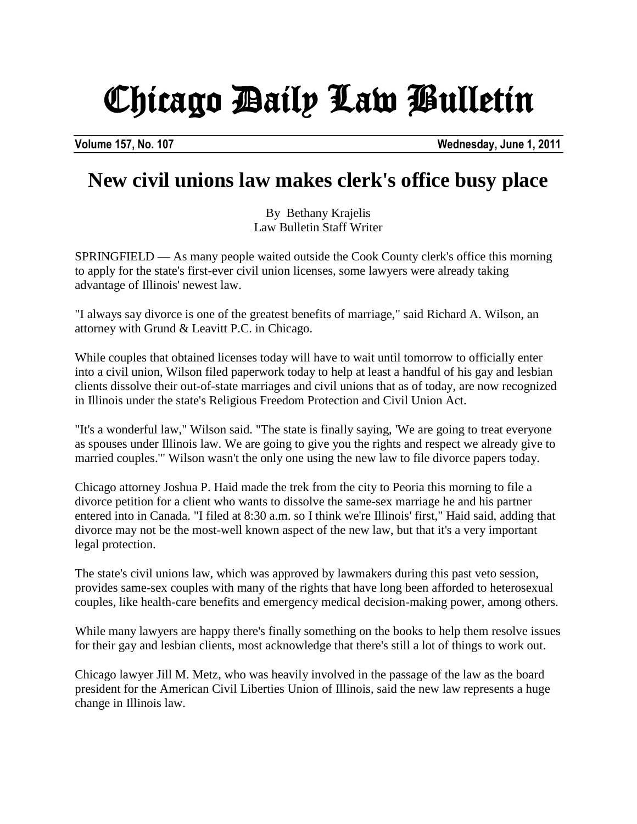## Chicago Daily Law Bulletin

**Volume 157, No. 107 Wednesday, June 1, 2011**

## **New civil unions law makes clerk's office busy place**

By Bethany Krajelis Law Bulletin Staff Writer

SPRINGFIELD — As many people waited outside the Cook County clerk's office this morning to apply for the state's first-ever civil union licenses, some lawyers were already taking advantage of Illinois' newest law.

"I always say divorce is one of the greatest benefits of marriage," said Richard A. Wilson, an attorney with Grund & Leavitt P.C. in Chicago.

While couples that obtained licenses today will have to wait until tomorrow to officially enter into a civil union, Wilson filed paperwork today to help at least a handful of his gay and lesbian clients dissolve their out-of-state marriages and civil unions that as of today, are now recognized in Illinois under the state's Religious Freedom Protection and Civil Union Act.

"It's a wonderful law," Wilson said. "The state is finally saying, 'We are going to treat everyone as spouses under Illinois law. We are going to give you the rights and respect we already give to married couples.'" Wilson wasn't the only one using the new law to file divorce papers today.

Chicago attorney Joshua P. Haid made the trek from the city to Peoria this morning to file a divorce petition for a client who wants to dissolve the same-sex marriage he and his partner entered into in Canada. "I filed at 8:30 a.m. so I think we're Illinois' first," Haid said, adding that divorce may not be the most-well known aspect of the new law, but that it's a very important legal protection.

The state's civil unions law, which was approved by lawmakers during this past veto session, provides same-sex couples with many of the rights that have long been afforded to heterosexual couples, like health-care benefits and emergency medical decision-making power, among others.

While many lawyers are happy there's finally something on the books to help them resolve issues for their gay and lesbian clients, most acknowledge that there's still a lot of things to work out.

Chicago lawyer Jill M. Metz, who was heavily involved in the passage of the law as the board president for the American Civil Liberties Union of Illinois, said the new law represents a huge change in Illinois law.